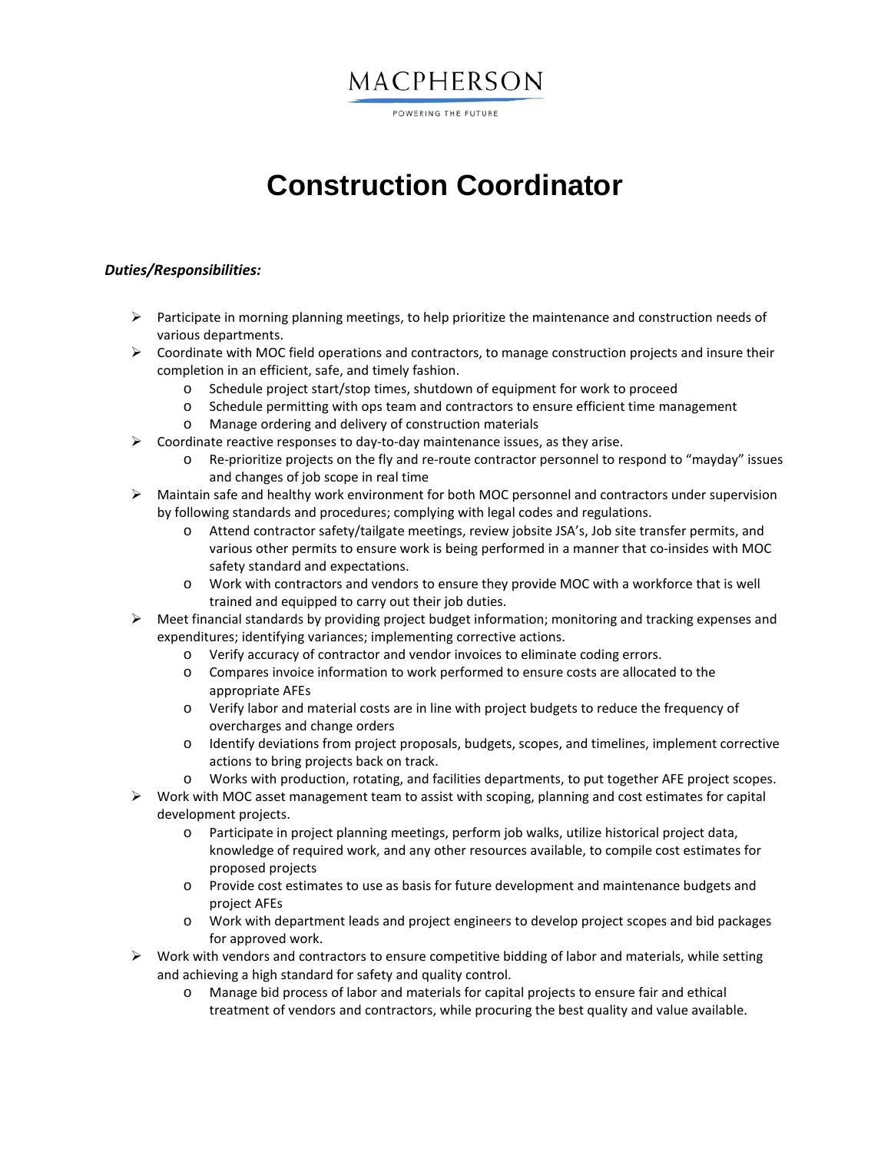### MACPHERSON

POWERING THE FUTURE

# **Construction Coordinator**

### *Duties/Responsibilities:*

- $\triangleright$  Participate in morning planning meetings, to help prioritize the maintenance and construction needs of various departments.
- $\triangleright$  Coordinate with MOC field operations and contractors, to manage construction projects and insure their completion in an efficient, safe, and timely fashion.
	- o Schedule project start/stop times, shutdown of equipment for work to proceed
	- o Schedule permitting with ops team and contractors to ensure efficient time management
	- o Manage ordering and delivery of construction materials
- $\triangleright$  Coordinate reactive responses to day-to-day maintenance issues, as they arise.
	- o Re-prioritize projects on the fly and re-route contractor personnel to respond to "mayday" issues and changes of job scope in real time
- $\triangleright$  Maintain safe and healthy work environment for both MOC personnel and contractors under supervision by following standards and procedures; complying with legal codes and regulations.
	- o Attend contractor safety/tailgate meetings, review jobsite JSA's, Job site transfer permits, and various other permits to ensure work is being performed in a manner that co-insides with MOC safety standard and expectations.
	- o Work with contractors and vendors to ensure they provide MOC with a workforce that is well trained and equipped to carry out their job duties.
- $\triangleright$  Meet financial standards by providing project budget information; monitoring and tracking expenses and expenditures; identifying variances; implementing corrective actions.
	- o Verify accuracy of contractor and vendor invoices to eliminate coding errors.
	- o Compares invoice information to work performed to ensure costs are allocated to the appropriate AFEs
	- o Verify labor and material costs are in line with project budgets to reduce the frequency of overcharges and change orders
	- o Identify deviations from project proposals, budgets, scopes, and timelines, implement corrective actions to bring projects back on track.
	- o Works with production, rotating, and facilities departments, to put together AFE project scopes.
- $\triangleright$  Work with MOC asset management team to assist with scoping, planning and cost estimates for capital development projects.
	- o Participate in project planning meetings, perform job walks, utilize historical project data, knowledge of required work, and any other resources available, to compile cost estimates for proposed projects
	- o Provide cost estimates to use as basis for future development and maintenance budgets and project AFEs
	- o Work with department leads and project engineers to develop project scopes and bid packages for approved work.
- $\triangleright$  Work with vendors and contractors to ensure competitive bidding of labor and materials, while setting and achieving a high standard for safety and quality control.
	- o Manage bid process of labor and materials for capital projects to ensure fair and ethical treatment of vendors and contractors, while procuring the best quality and value available.